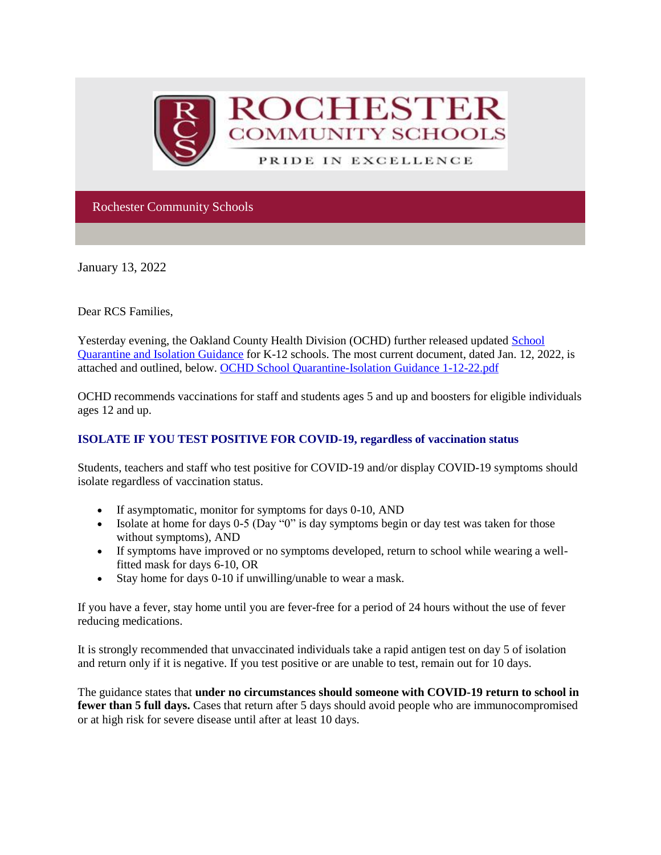

Rochester Community Schools

January 13, 2022

Dear RCS Families,

Yesterday evening, the Oakland County Health Division (OCHD) further released updated [School](http://track.spe.schoolmessenger.com/f/a/dPSzykruS1mzsGZLAxB8Qw~~/AAAAAQA~/RgRjwY73P0RnaHR0cHM6Ly93d3cub2FrZ292LmNvbS9jb3ZpZC9yZXNvdXJjZXMvZWR1Y2F0aW9uL0RvY3VtZW50cy9TY2hvb2wlMjBRdWFyYW50aW5lLUlzb2xhdGlvbiUyMEd1aWRhbmNlLnBkZlcHc2Nob29sbUIKYd93W-BhBNleP1Ibc2FoZWFybkByb2NoZXN0ZXIuazEyLm1pLnVzWAQAAAAB)  [Quarantine and Isolation Guidance](http://track.spe.schoolmessenger.com/f/a/dPSzykruS1mzsGZLAxB8Qw~~/AAAAAQA~/RgRjwY73P0RnaHR0cHM6Ly93d3cub2FrZ292LmNvbS9jb3ZpZC9yZXNvdXJjZXMvZWR1Y2F0aW9uL0RvY3VtZW50cy9TY2hvb2wlMjBRdWFyYW50aW5lLUlzb2xhdGlvbiUyMEd1aWRhbmNlLnBkZlcHc2Nob29sbUIKYd93W-BhBNleP1Ibc2FoZWFybkByb2NoZXN0ZXIuazEyLm1pLnVzWAQAAAAB) for K-12 schools. The most current document, dated Jan. 12, 2022, is attached and outlined, below. [OCHD School Quarantine-Isolation Guidance 1-12-22.pdf](http://track.spe.schoolmessenger.com/f/a/zJuXEpfAM8KX7t0_RCNjMg~~/AAAAAQA~/RgRjwY73P0R1aHR0cHM6Ly9tc2cuc2Nob29sbWVzc2VuZ2VyLmNvbS9tLz9zPTA5ckZtRlQwN0JnJm1hbD02Y2Q3YTM0OTk0ODA4YjViZTVjNWJhZThjNDEzYTk2YzJiMTkwM2JmYTEzYTM5ZDExOGZmYmNjYmNhMTUwZmVmVwdzY2hvb2xtQgph33db4GEE2V4_UhtzYWhlYXJuQHJvY2hlc3Rlci5rMTIubWkudXNYBAAAAAE~)

OCHD recommends vaccinations for staff and students ages 5 and up and boosters for eligible individuals ages 12 and up.

## **ISOLATE IF YOU TEST POSITIVE FOR COVID-19, regardless of vaccination status**

Students, teachers and staff who test positive for COVID-19 and/or display COVID-19 symptoms should isolate regardless of vaccination status.

- If asymptomatic, monitor for symptoms for days 0-10, AND
- Isolate at home for days 0-5 (Day "0" is day symptoms begin or day test was taken for those without symptoms), AND
- If symptoms have improved or no symptoms developed, return to school while wearing a wellfitted mask for days 6-10, OR
- Stay home for days 0-10 if unwilling/unable to wear a mask.

If you have a fever, stay home until you are fever-free for a period of 24 hours without the use of fever reducing medications.

It is strongly recommended that unvaccinated individuals take a rapid antigen test on day 5 of isolation and return only if it is negative. If you test positive or are unable to test, remain out for 10 days.

The guidance states that **under no circumstances should someone with COVID-19 return to school in fewer than 5 full days.** Cases that return after 5 days should avoid people who are immunocompromised or at high risk for severe disease until after at least 10 days.